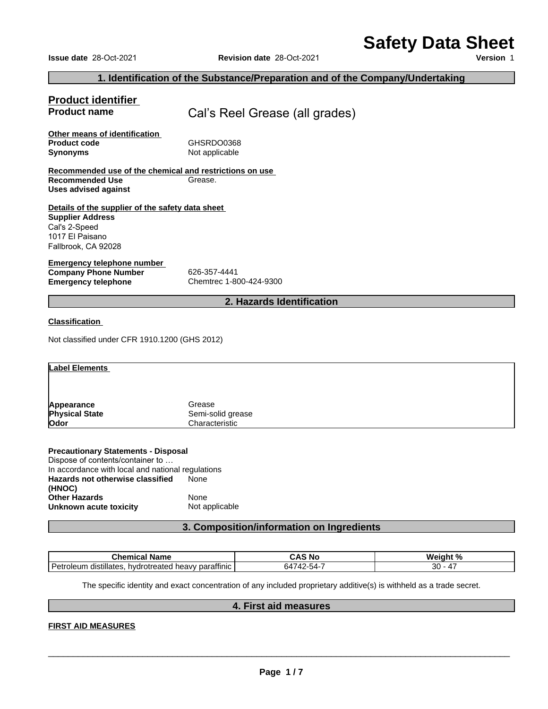# **Safety Data Sheet**

| <b>Safety Data Sheet</b><br><b>Issue date 28-Oct-2021</b><br><b>Revision date 28-Oct-2021</b>                                             | Version 1 |
|-------------------------------------------------------------------------------------------------------------------------------------------|-----------|
| 1. Identification of the Substance/Preparation and of the Company/Undertaking                                                             |           |
| <b>Product identifier</b><br><b>Product name</b><br>Cal's Reel Grease (all grades)                                                        |           |
| Other means of identification<br>GHSRDO0368<br><b>Product code</b><br>Not applicable<br><b>Synonyms</b>                                   |           |
| Recommended use of the chemical and restrictions on use<br><b>Recommended Use</b><br>Grease.<br><b>Uses advised against</b>               |           |
| Details of the supplier of the safety data sheet<br><b>Supplier Address</b><br>Cal's 2-Speed<br>1017 El Paisano<br>Fallbrook, CA 92028    |           |
| <b>Emergency telephone number</b><br><b>Company Phone Number</b><br>626-357-4441<br>Chemtrec 1-800-424-9300<br><b>Emergency telephone</b> |           |
| 2. Hazards Identification                                                                                                                 |           |

| Appearance                                                                            | Grease            |                                           |           |
|---------------------------------------------------------------------------------------|-------------------|-------------------------------------------|-----------|
| <b>Physical State</b>                                                                 | Semi-solid grease |                                           |           |
| Odor                                                                                  | Characteristic    |                                           |           |
|                                                                                       |                   |                                           |           |
| <b>Precautionary Statements - Disposal</b>                                            |                   |                                           |           |
| Dispose of contents/container to<br>In accordance with local and national regulations |                   |                                           |           |
| Hazards not otherwise classified<br>(HNOC)                                            | None              |                                           |           |
| <b>Other Hazards</b>                                                                  | None              |                                           |           |
| Unknown acute toxicity                                                                | Not applicable    |                                           |           |
|                                                                                       |                   | 3. Composition/information on Ingredients |           |
|                                                                                       |                   |                                           |           |
| <b>Chemical Name</b>                                                                  |                   | <b>CAS No</b>                             | Weight %  |
| Petroleum distillates hydrotreated heavy paraffinic                                   |                   | 61712.51.7                                | $30 - 17$ |

# **Precautionary Statements - Disposal**

| Dispose of contents/container to                  |                |
|---------------------------------------------------|----------------|
| In accordance with local and national regulations |                |
| Hazards not otherwise classified                  | None           |
| (HNOC)                                            |                |
| <b>Other Hazards</b>                              | None           |
| Unknown acute toxicity                            | Not applicable |

| Dispose of contents/container to                     |                                                                                                                                               |           |
|------------------------------------------------------|-----------------------------------------------------------------------------------------------------------------------------------------------|-----------|
| In accordance with local and national regulations    |                                                                                                                                               |           |
| Hazards not otherwise classified                     | None                                                                                                                                          |           |
| (HNOC)                                               |                                                                                                                                               |           |
| <b>Other Hazards</b>                                 | None                                                                                                                                          |           |
| Unknown acute toxicity                               | Not applicable                                                                                                                                |           |
|                                                      | 3. Composition/information on Ingredients                                                                                                     |           |
|                                                      |                                                                                                                                               |           |
| <b>Chemical Name</b>                                 | <b>CAS No</b>                                                                                                                                 | Weight %  |
|                                                      |                                                                                                                                               |           |
| Petroleum distillates, hydrotreated heavy paraffinic | 64742-54-7                                                                                                                                    | $30 - 47$ |
|                                                      | The specific identity and exact concentration of any included proprietary additive(s) is withheld as a trade secret.<br>4. First aid measures |           |

# **FIRST AID MEASURES**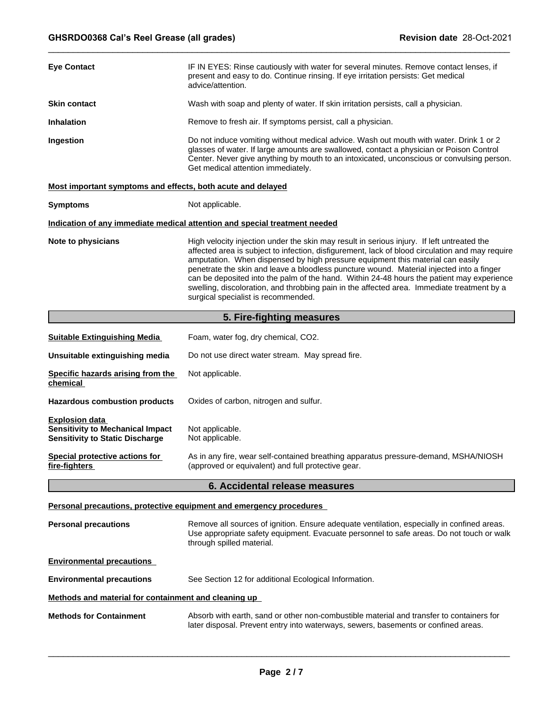| <b>Eye Contact</b>                                                                                         | IF IN EYES: Rinse cautiously with water for several minutes. Remove contact lenses, if<br>present and easy to do. Continue rinsing. If eye irritation persists: Get medical<br>advice/attention.                                                                                                                                                                                                                                                                                                                                                                                                              |  |  |  |  |  |
|------------------------------------------------------------------------------------------------------------|---------------------------------------------------------------------------------------------------------------------------------------------------------------------------------------------------------------------------------------------------------------------------------------------------------------------------------------------------------------------------------------------------------------------------------------------------------------------------------------------------------------------------------------------------------------------------------------------------------------|--|--|--|--|--|
| <b>Skin contact</b>                                                                                        | Wash with soap and plenty of water. If skin irritation persists, call a physician.                                                                                                                                                                                                                                                                                                                                                                                                                                                                                                                            |  |  |  |  |  |
| <b>Inhalation</b>                                                                                          | Remove to fresh air. If symptoms persist, call a physician.                                                                                                                                                                                                                                                                                                                                                                                                                                                                                                                                                   |  |  |  |  |  |
| Ingestion                                                                                                  | Do not induce vomiting without medical advice. Wash out mouth with water. Drink 1 or 2<br>glasses of water. If large amounts are swallowed, contact a physician or Poison Control<br>Center. Never give anything by mouth to an intoxicated, unconscious or convulsing person.<br>Get medical attention immediately.                                                                                                                                                                                                                                                                                          |  |  |  |  |  |
| Most important symptoms and effects, both acute and delayed                                                |                                                                                                                                                                                                                                                                                                                                                                                                                                                                                                                                                                                                               |  |  |  |  |  |
| <b>Symptoms</b>                                                                                            | Not applicable.                                                                                                                                                                                                                                                                                                                                                                                                                                                                                                                                                                                               |  |  |  |  |  |
|                                                                                                            | Indication of any immediate medical attention and special treatment needed                                                                                                                                                                                                                                                                                                                                                                                                                                                                                                                                    |  |  |  |  |  |
| Note to physicians                                                                                         | High velocity injection under the skin may result in serious injury. If left untreated the<br>affected area is subject to infection, disfigurement, lack of blood circulation and may require<br>amputation. When dispensed by high pressure equipment this material can easily<br>penetrate the skin and leave a bloodless puncture wound. Material injected into a finger<br>can be deposited into the palm of the hand. Within 24-48 hours the patient may experience<br>swelling, discoloration, and throbbing pain in the affected area. Immediate treatment by a<br>surgical specialist is recommended. |  |  |  |  |  |
|                                                                                                            | 5. Fire-fighting measures                                                                                                                                                                                                                                                                                                                                                                                                                                                                                                                                                                                     |  |  |  |  |  |
| <b>Suitable Extinguishing Media</b>                                                                        | Foam, water fog, dry chemical, CO2.                                                                                                                                                                                                                                                                                                                                                                                                                                                                                                                                                                           |  |  |  |  |  |
| Unsuitable extinguishing media                                                                             | Do not use direct water stream. May spread fire.                                                                                                                                                                                                                                                                                                                                                                                                                                                                                                                                                              |  |  |  |  |  |
| Specific hazards arising from the<br>chemical                                                              | Not applicable.                                                                                                                                                                                                                                                                                                                                                                                                                                                                                                                                                                                               |  |  |  |  |  |
| <b>Hazardous combustion products</b>                                                                       | Oxides of carbon, nitrogen and sulfur.                                                                                                                                                                                                                                                                                                                                                                                                                                                                                                                                                                        |  |  |  |  |  |
| <b>Explosion data</b><br><b>Sensitivity to Mechanical Impact</b><br><b>Sensitivity to Static Discharge</b> | Not applicable.<br>Not applicable.                                                                                                                                                                                                                                                                                                                                                                                                                                                                                                                                                                            |  |  |  |  |  |
| <b>Special protective actions for</b><br>fire-fighters                                                     | As in any fire, wear self-contained breathing apparatus pressure-demand, MSHA/NIOSH<br>(approved or equivalent) and full protective gear.                                                                                                                                                                                                                                                                                                                                                                                                                                                                     |  |  |  |  |  |
|                                                                                                            | 6. Accidental release measures                                                                                                                                                                                                                                                                                                                                                                                                                                                                                                                                                                                |  |  |  |  |  |
|                                                                                                            | Personal precautions, protective equipment and emergency procedures                                                                                                                                                                                                                                                                                                                                                                                                                                                                                                                                           |  |  |  |  |  |
| <b>Personal precautions</b>                                                                                | Remove all sources of ignition. Ensure adequate ventilation, especially in confined areas.<br>Use appropriate safety equipment. Evacuate personnel to safe areas. Do not touch or walk<br>through spilled material.                                                                                                                                                                                                                                                                                                                                                                                           |  |  |  |  |  |
| <b>Environmental precautions</b>                                                                           |                                                                                                                                                                                                                                                                                                                                                                                                                                                                                                                                                                                                               |  |  |  |  |  |
| <b>Environmental precautions</b>                                                                           | See Section 12 for additional Ecological Information.                                                                                                                                                                                                                                                                                                                                                                                                                                                                                                                                                         |  |  |  |  |  |
| <u>Methods and material for containment and cleaning up</u>                                                |                                                                                                                                                                                                                                                                                                                                                                                                                                                                                                                                                                                                               |  |  |  |  |  |
| <b>Methods for Containment</b>                                                                             | Absorb with earth, sand or other non-combustible material and transfer to containers for<br>later disposal. Prevent entry into waterways, sewers, basements or confined areas.                                                                                                                                                                                                                                                                                                                                                                                                                                |  |  |  |  |  |
|                                                                                                            |                                                                                                                                                                                                                                                                                                                                                                                                                                                                                                                                                                                                               |  |  |  |  |  |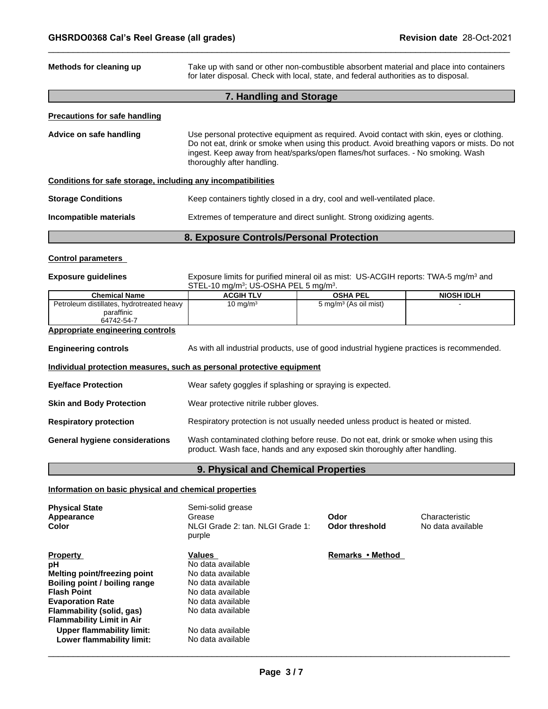| GHSRDO0368 Cal's Reel Grease (all grades)                                      |                                                                                                                                                                                                                                                                                                           |                                                                                                                                                                  | <b>Revision date 28-Oct-2021</b> |  |  |
|--------------------------------------------------------------------------------|-----------------------------------------------------------------------------------------------------------------------------------------------------------------------------------------------------------------------------------------------------------------------------------------------------------|------------------------------------------------------------------------------------------------------------------------------------------------------------------|----------------------------------|--|--|
| Methods for cleaning up                                                        | Take up with sand or other non-combustible absorbent material and place into containers<br>for later disposal. Check with local, state, and federal authorities as to disposal.                                                                                                                           |                                                                                                                                                                  |                                  |  |  |
|                                                                                | 7. Handling and Storage                                                                                                                                                                                                                                                                                   |                                                                                                                                                                  |                                  |  |  |
| <b>Precautions for safe handling</b>                                           |                                                                                                                                                                                                                                                                                                           |                                                                                                                                                                  |                                  |  |  |
| Advice on safe handling                                                        | Use personal protective equipment as required. Avoid contact with skin, eyes or clothing.<br>Do not eat, drink or smoke when using this product. Avoid breathing vapors or mists. Do not<br>ingest. Keep away from heat/sparks/open flames/hot surfaces. - No smoking. Wash<br>thoroughly after handling. |                                                                                                                                                                  |                                  |  |  |
| Conditions for safe storage, including any incompatibilities                   |                                                                                                                                                                                                                                                                                                           |                                                                                                                                                                  |                                  |  |  |
| <b>Storage Conditions</b>                                                      |                                                                                                                                                                                                                                                                                                           | Keep containers tightly closed in a dry, cool and well-ventilated place.                                                                                         |                                  |  |  |
| Incompatible materials                                                         |                                                                                                                                                                                                                                                                                                           | Extremes of temperature and direct sunlight. Strong oxidizing agents.                                                                                            |                                  |  |  |
|                                                                                | 8. Exposure Controls/Personal Protection                                                                                                                                                                                                                                                                  |                                                                                                                                                                  |                                  |  |  |
| <b>Control parameters</b>                                                      |                                                                                                                                                                                                                                                                                                           |                                                                                                                                                                  |                                  |  |  |
| <b>Exposure guidelines</b>                                                     | Exposure limits for purified mineral oil as mist: US-ACGIH reports: TWA-5 mg/m <sup>3</sup> and<br>STEL-10 mg/m <sup>3</sup> ; US-OSHA PEL 5 mg/m <sup>3</sup> .                                                                                                                                          |                                                                                                                                                                  |                                  |  |  |
| <b>Chemical Name</b>                                                           | <b>ACGIH TLV</b>                                                                                                                                                                                                                                                                                          | <b>OSHA PEL</b>                                                                                                                                                  | <b>NIOSH IDLH</b>                |  |  |
| Petroleum distillates, hydrotreated heavy<br>paraffinic<br>64742-54-7          | 10 mg/m $3$                                                                                                                                                                                                                                                                                               | 5 mg/m <sup>3</sup> (As oil mist)                                                                                                                                |                                  |  |  |
| Appropriate engineering controls                                               |                                                                                                                                                                                                                                                                                                           |                                                                                                                                                                  |                                  |  |  |
| <b>Engineering controls</b>                                                    |                                                                                                                                                                                                                                                                                                           | As with all industrial products, use of good industrial hygiene practices is recommended.                                                                        |                                  |  |  |
| Individual protection measures, such as personal protective equipment          |                                                                                                                                                                                                                                                                                                           |                                                                                                                                                                  |                                  |  |  |
| <b>Eye/face Protection</b>                                                     | Wear safety goggles if splashing or spraying is expected.                                                                                                                                                                                                                                                 |                                                                                                                                                                  |                                  |  |  |
| <b>Skin and Body Protection</b>                                                | Wear protective nitrile rubber gloves.                                                                                                                                                                                                                                                                    |                                                                                                                                                                  |                                  |  |  |
| <b>Respiratory protection</b>                                                  |                                                                                                                                                                                                                                                                                                           | Respiratory protection is not usually needed unless product is heated or misted.                                                                                 |                                  |  |  |
| <b>General hygiene considerations</b>                                          |                                                                                                                                                                                                                                                                                                           | Wash contaminated clothing before reuse. Do not eat, drink or smoke when using this<br>product. Wash face, hands and any exposed skin thoroughly after handling. |                                  |  |  |
|                                                                                | 9. Physical and Chemical Properties                                                                                                                                                                                                                                                                       |                                                                                                                                                                  |                                  |  |  |
|                                                                                |                                                                                                                                                                                                                                                                                                           |                                                                                                                                                                  |                                  |  |  |
|                                                                                |                                                                                                                                                                                                                                                                                                           |                                                                                                                                                                  |                                  |  |  |
| Information on basic physical and chemical properties<br><b>Physical State</b> | Semi-solid grease                                                                                                                                                                                                                                                                                         |                                                                                                                                                                  |                                  |  |  |

# **Information on basic physical and chemical properties**

| <b>Physical State</b><br>Appearance<br><b>Color</b> | Semi-solid grease<br>Grease<br>NLGI Grade 2: tan. NLGI Grade 1:<br>purple | Odor<br>Odor threshold | Characteristic<br>No data available |
|-----------------------------------------------------|---------------------------------------------------------------------------|------------------------|-------------------------------------|
| <b>Property</b>                                     | Values                                                                    | Remarks • Method       |                                     |
| рH                                                  | No data available                                                         |                        |                                     |
| <b>Melting point/freezing point</b>                 | No data available                                                         |                        |                                     |
| Boiling point / boiling range                       | No data available                                                         |                        |                                     |
| <b>Flash Point</b>                                  | No data available                                                         |                        |                                     |
| <b>Evaporation Rate</b>                             | No data available                                                         |                        |                                     |
| Flammability (solid, gas)                           | No data available                                                         |                        |                                     |
| <b>Flammability Limit in Air</b>                    |                                                                           |                        |                                     |
| Upper flammability limit:                           | No data available                                                         |                        |                                     |
| Lower flammability limit:                           | No data available                                                         |                        |                                     |
|                                                     |                                                                           |                        |                                     |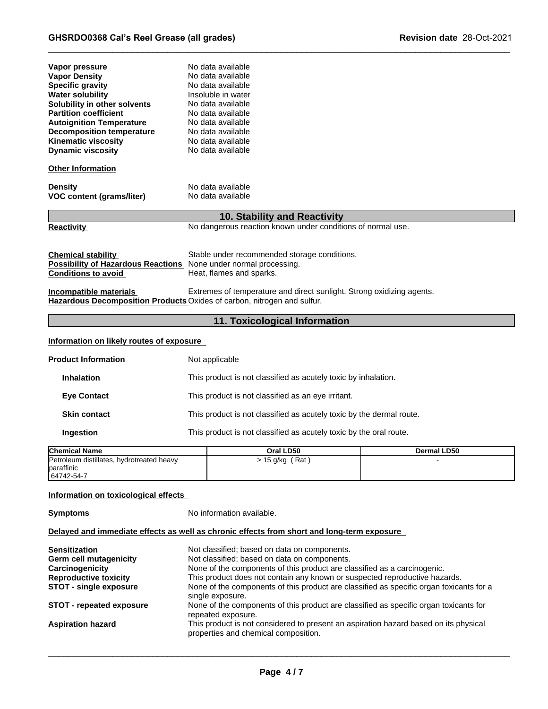| Vapor pressure<br><b>Vapor Density</b><br><b>Specific gravity</b><br><b>Water solubility</b><br>Solubility in other solvents<br><b>Partition coefficient</b><br><b>Autoignition Temperature</b><br><b>Decomposition temperature</b><br><b>Kinematic viscosity</b><br><b>Dynamic viscosity</b> | No data available<br>No data available<br>No data available<br>Insoluble in water<br>No data available<br>No data available<br>No data available<br>No data available<br>No data available<br>No data available |
|-----------------------------------------------------------------------------------------------------------------------------------------------------------------------------------------------------------------------------------------------------------------------------------------------|-----------------------------------------------------------------------------------------------------------------------------------------------------------------------------------------------------------------|
| <b>Other Information</b>                                                                                                                                                                                                                                                                      |                                                                                                                                                                                                                 |
| <b>Density</b><br><b>VOC content (grams/liter)</b>                                                                                                                                                                                                                                            | No data available<br>No data available                                                                                                                                                                          |
|                                                                                                                                                                                                                                                                                               | <b>10. Stability and Reactivity</b>                                                                                                                                                                             |
| <b>Reactivity</b>                                                                                                                                                                                                                                                                             | No dangerous reaction known under conditions of normal use.                                                                                                                                                     |
| <b>Chemical stability</b><br>Possibility of Hazardous Reactions None under normal processing.<br><b>Conditions to avoid</b>                                                                                                                                                                   | Stable under recommended storage conditions.<br>Heat, flames and sparks.                                                                                                                                        |
| Incompatible materials                                                                                                                                                                                                                                                                        | Extremes of temperature and direct sunlight. Strong oxidizing agents.<br>Hazardous Decomposition Products Oxides of carbon, nitrogen and sulfur.                                                                |
|                                                                                                                                                                                                                                                                                               | 11. Toxicological Information                                                                                                                                                                                   |
| Information on likely routes of exposure                                                                                                                                                                                                                                                      |                                                                                                                                                                                                                 |
| <b>Product Information</b>                                                                                                                                                                                                                                                                    | Not applicable                                                                                                                                                                                                  |

# **Information on likely routes of exposure**

| <b>Product Information</b>                                            | Not applicable                                                       |             |
|-----------------------------------------------------------------------|----------------------------------------------------------------------|-------------|
| <b>Inhalation</b>                                                     | This product is not classified as acutely toxic by inhalation.       |             |
| <b>Eye Contact</b>                                                    | This product is not classified as an eye irritant.                   |             |
| <b>Skin contact</b>                                                   | This product is not classified as acutely toxic by the dermal route. |             |
| Ingestion                                                             | This product is not classified as acutely toxic by the oral route.   |             |
| <b>Chemical Name</b>                                                  | Oral LD50                                                            | Dermal LD50 |
| Petroleum distillates, hydrotreated heavy<br>baraffinic<br>64742-54-7 | $> 15$ g/kg (Rat)                                                    |             |
|                                                                       |                                                                      |             |

| <b>Chemical Name</b>                      | Oral LD50     | <b>Dermal LD50</b> |
|-------------------------------------------|---------------|--------------------|
| Petroleum distillates, hydrotreated heavy | 15 g/kg (Rat) |                    |
| paraffinic                                |               |                    |
| 64742-54-7                                |               |                    |

### **Information on toxicological effects**

**Symptoms** No information available.

# **Delayed and immediate effects as well as chronic effects from short and long-term exposure**

| <b>Sensitization</b>            | Not classified; based on data on components.                                                                                 |
|---------------------------------|------------------------------------------------------------------------------------------------------------------------------|
| <b>Germ cell mutagenicity</b>   | Not classified; based on data on components.                                                                                 |
| Carcinogenicity                 | None of the components of this product are classified as a carcinogenic.                                                     |
| <b>Reproductive toxicity</b>    | This product does not contain any known or suspected reproductive hazards.                                                   |
| <b>STOT - single exposure</b>   | None of the components of this product are classified as specific organ toxicants for a<br>single exposure.                  |
| <b>STOT - repeated exposure</b> | None of the components of this product are classified as specific organ toxicants for<br>repeated exposure.                  |
| <b>Aspiration hazard</b>        | This product is not considered to present an aspiration hazard based on its physical<br>properties and chemical composition. |
|                                 |                                                                                                                              |

 $\Box$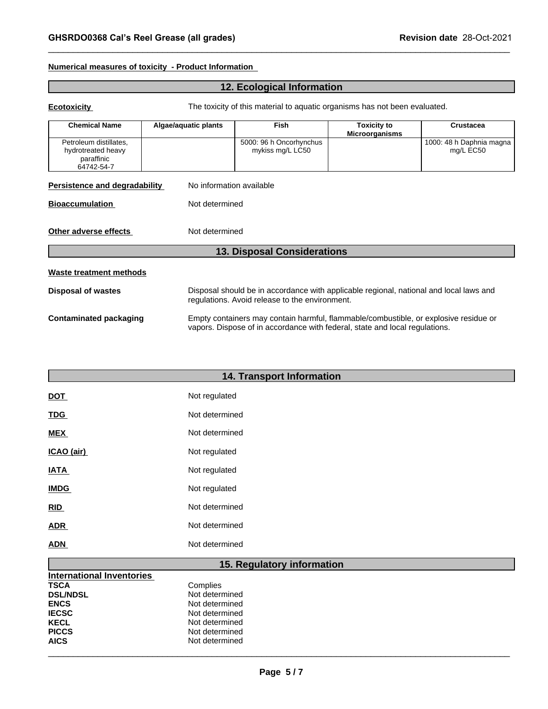# **Numerical measures of toxicity - Product Information**

| Numerical measures of toxicity - Product Information                     |                                                                            | <b>GHSRDO0368 Cal's Reel Grease (all grades)</b>                                                                                                                    | Revision date 28-Oct-2021                   |                                       |  |
|--------------------------------------------------------------------------|----------------------------------------------------------------------------|---------------------------------------------------------------------------------------------------------------------------------------------------------------------|---------------------------------------------|---------------------------------------|--|
|                                                                          |                                                                            | 12. Ecological Information                                                                                                                                          |                                             |                                       |  |
| <b>Ecotoxicity</b>                                                       | The toxicity of this material to aquatic organisms has not been evaluated. |                                                                                                                                                                     |                                             |                                       |  |
| <b>Chemical Name</b>                                                     | Algae/aquatic plants                                                       | Fish                                                                                                                                                                | <b>Toxicity to</b><br><b>Microorganisms</b> | Crustacea                             |  |
| Petroleum distillates,<br>hydrotreated heavy<br>paraffinic<br>64742-54-7 |                                                                            | 5000: 96 h Oncorhynchus<br>mykiss mg/L LC50                                                                                                                         |                                             | 1000: 48 h Daphnia magna<br>mg/L EC50 |  |
| Persistence and degradability                                            | No information available                                                   |                                                                                                                                                                     |                                             |                                       |  |
| <b>Bioaccumulation</b>                                                   | Not determined                                                             |                                                                                                                                                                     |                                             |                                       |  |
| Other adverse effects                                                    | Not determined                                                             |                                                                                                                                                                     |                                             |                                       |  |
|                                                                          |                                                                            | <b>13. Disposal Considerations</b>                                                                                                                                  |                                             |                                       |  |
| <b>Waste treatment methods</b>                                           |                                                                            |                                                                                                                                                                     |                                             |                                       |  |
| <b>Disposal of wastes</b>                                                |                                                                            | Disposal should be in accordance with applicable regional, national and local laws and<br>regulations. Avoid release to the environment.                            |                                             |                                       |  |
| <b>Contaminated packaging</b>                                            |                                                                            | Empty containers may contain harmful, flammable/combustible, or explosive residue or<br>vapors. Dispose of in accordance with federal, state and local regulations. |                                             |                                       |  |
|                                                                          |                                                                            | 14. Transport Information                                                                                                                                           |                                             |                                       |  |
| <b>DOT</b>                                                               | Not regulated                                                              |                                                                                                                                                                     |                                             |                                       |  |
| <b>TDG</b>                                                               | Not determined                                                             |                                                                                                                                                                     |                                             |                                       |  |

| <b>14. Transport Information</b> |                |  |
|----------------------------------|----------------|--|
| <b>DOT</b>                       | Not regulated  |  |
| <u>TDG</u>                       | Not determined |  |
| <b>MEX</b>                       | Not determined |  |
| ICAO (air)                       | Not regulated  |  |
| <b>IATA</b>                      | Not regulated  |  |
| <b>IMDG</b>                      | Not regulated  |  |
| RID                              | Not determined |  |
| <b>ADR</b>                       | Not determined |  |
| <b>ADN</b>                       | Not determined |  |
| 15. Regulatory information       |                |  |
| <b>International Inventories</b> |                |  |
| <b>TSCA</b>                      | Complies       |  |
| <b>DSL/NDSL</b>                  | Not determined |  |
| <b>ENCS</b>                      | Not determined |  |

| <b>International Inventories</b> |                |
|----------------------------------|----------------|
| <b>TSCA</b>                      | Complies       |
| <b>DSL/NDSL</b>                  | Not determined |
| <b>ENCS</b>                      | Not determined |
| <b>IECSC</b>                     | Not determined |
| <b>KECL</b>                      | Not determined |
| <b>PICCS</b>                     | Not determined |
| <b>AICS</b>                      | Not determined |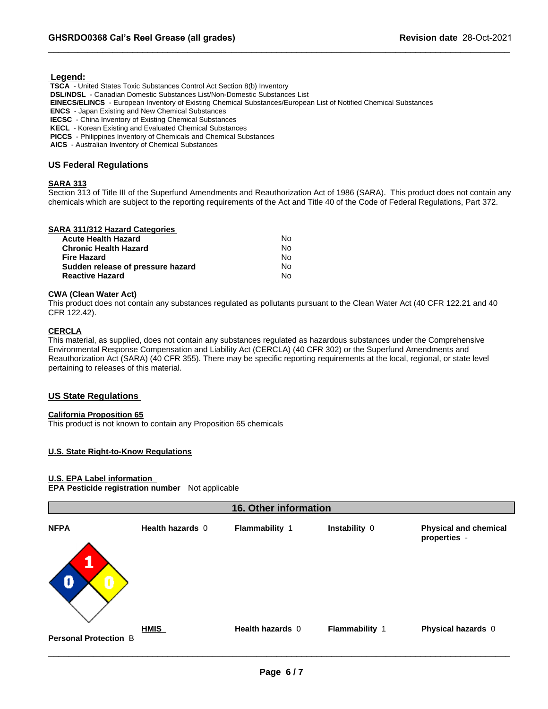# **Legend:**

 **TSCA** - United States Toxic Substances Control Act Section 8(b) Inventory  **DSL/NDSL** - Canadian Domestic Substances List/Non-Domestic Substances List  **EINECS/ELINCS** - European Inventory of Existing Chemical Substances/European List of Notified Chemical Substances  **ENCS** - Japan Existing and New Chemical Substances  **IECSC** - China Inventory of Existing Chemical Substances  **KECL** - Korean Existing and Evaluated Chemical Substances  **PICCS** - Philippines Inventory of Chemicals and Chemical Substances  **AICS** - Australian Inventory of Chemical Substances

# **US Federal Regulations**

# **SARA 313**

Section 313 of Title III of the Superfund Amendments and Reauthorization Act of 1986 (SARA). This product does not contain any chemicals which are subject to the reporting requirements of the Act and Title 40 of the Code of Federal Regulations, Part 372.

### **SARA 311/312 Hazard Categories**

| <b>Acute Health Hazard</b>        | No. |  |
|-----------------------------------|-----|--|
| <b>Chronic Health Hazard</b>      | N٥  |  |
| Fire Hazard                       | N٥  |  |
| Sudden release of pressure hazard | Nο  |  |
| <b>Reactive Hazard</b>            | No  |  |

# **CWA (Clean Water Act)**

This product does not contain any substances regulated as pollutants pursuant to the Clean Water Act (40 CFR 122.21 and 40 CFR 122.42).

### **CERCLA**

This material, as supplied, does not contain any substances regulated as hazardous substances under the Comprehensive Environmental Response Compensation and Liability Act (CERCLA) (40 CFR 302) or the Superfund Amendments and Reauthorization Act (SARA) (40 CFR 355). There may be specific reporting requirements at the local, regional, or state level pertaining to releases of this material.

# **US State Regulations**

# **California Proposition 65**

This product is not known to contain any Proposition 65 chemicals

# **U.S. State Right-to-Know Regulations**

# **U.S. EPA Label information**

**EPA Pesticide registration number** Not applicable